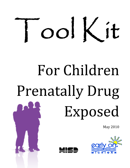

# For Children Prenatally Drug Exposed

May 2010





Prenatal Drug Exposure Tool Kit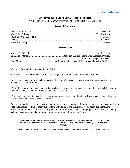#### **MACOMB INTERMEDIATE SCHOOL DISTRICT**

44001 Garfield Road • Clinton Township, MI • 48038-1100 • 586/228-3300

#### **Board of Education**

#### **Administration**

| <b>Instruction and Special Projects</b> |
|-----------------------------------------|
|                                         |

We are the Macomb Intermediate School District.

We exist to provide our clients quality service, high caliber support, and cutting edge leadership.

Our primary clients are the 21 school districts of Macomb County. They are our most important customers – indeed, our reason for being.

Within these districts we focus our efforts on school staff. We work to increase their skills and capabilities so their students can experience more effective educational programs.

We also serve the handicapped. In fact, we are committed to working directly with youngsters with disabilities who reside in Macomb County's school districts.

And we are involved with the educational community across the country. Many of our staff members are leaders in state and national programs. Many are working with colleges and universities. Still others are exchanging information with their professional colleagues. All these activities have a single purpose: to identify and develop techniques and programs that improve learning opportunities in Macomb County.

This booklet was developed and printed in part under a grant awarded by the Michigan State Board of Education, under Part C of IDEA Amendments of 1997, better known as Early On® Michigan and American Recovery and Reinvestment Act of 2009 funds.

Macomb Intermediate School District (MISD) has the legal authority to apply for and receive funds under Part C of IDEA.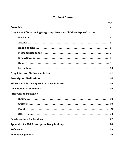# **Table of Contents**

|                                                                            | Page |
|----------------------------------------------------------------------------|------|
|                                                                            |      |
| Drug Facts, Effects During Pregnancy, Effects on Children Exposed in Utero |      |
|                                                                            |      |
|                                                                            |      |
|                                                                            |      |
|                                                                            |      |
|                                                                            |      |
|                                                                            |      |
|                                                                            |      |
|                                                                            |      |
|                                                                            |      |
|                                                                            |      |
|                                                                            |      |
| <b>Intervention Strategies</b>                                             |      |
|                                                                            |      |
|                                                                            |      |
|                                                                            |      |
|                                                                            |      |
|                                                                            |      |
|                                                                            |      |
|                                                                            |      |
|                                                                            |      |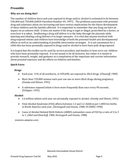# **Preamble**

# **Why are we doing this?**

The number of children born each year exposed to drugs and/or alcohol is estimated to be between 550,000 and 750,000 (ARCH Factsheet Number 49, 1997). The problems associated with prenatal drug and substance abuse are increasing and have serious implications for the future development of these children and the families affected. It is important to remember that any drug can have an impact on an unborn child. It does not matter if the drug is legal or illegal, prescribed by a doctor, or even how it is taken. Swallowing a drug will deliver it to the baby through the placenta while injecting and inhaling a drug delivers it in larger amounts. It is vital that anyone involved with drug‐exposed infants and children have knowledge of both the potential health and developmental effects as well as an understanding of possible intervention strategies. It is not uncommon for a child who has been prenatally exposed to drugs and/or alcohol to have been poly‐drug exposed.

It is hoped that this toolkit can be used by service providers and families to best serve our children who have been prenatally exposed. It is not meant to be all inclusive, but rather it is meant to provide research, insight, and guidance as a compilation of the important and current information about prenatal exposure and the effects on children and families.

## **Quick Facts:**

## **Drugs**

- Each year, 11% of all newborns, or 459,690, are exposed to *illicit* drugs. *(Chasnoff, 1989)*
- *(Gomby and Shiono, 1991)* • More than 739,000 women each year use one or more illicit drugs during pregnancy.
- A substance exposed infant is born more frequently than once every 90 seconds. *(Schipper, 1991)*

# **Alcohol**

- 2.6 million infants each year are prenatally exposed to alcohol. *(Gomby and Shiono, 1991)*
- in North America each year. *(Streissguth and Giunta, 1988; US DHHS, 1990)* • Fetal Alcohol Syndrome (FAS) affects between 1.3 and 2.2 children per 1,000 live births
- to 1. *(Abel and Dintcheff, 1984; Streissguth and Giunta, 1988)* • Cases of Alcohol Related Birth Defects (ARBD) outnumber cases of FAS by a ratio of 2 to 3

(statistics.adoption.com)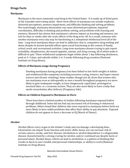# **Drugs Facts**

# **Marijuana**

Marijuana is the most commonly used drug in the United States. It is made up of dried parts of the Cannabis sativa hemp plant. Short‐term effects of marijuana use include euphoria, distorted perceptions, memory impairment, and difficulty thinking and solving problems. Not surprisingly, marijuana intoxication can cause distorted perceptions, impaired coordination, difficulty in thinking and problem solving, and problems with learning and memory. Research has shown that marijuana's adverse impact on learning and memory can last for days or weeks after the acute effects of the drug wear off. As a result, someone who smokes marijuana every day may be functioning at a suboptimal intellectual level all of the time. Long‐term marijuana abuse can lead to addiction; that is, compulsive drug seeking and abuse despite its known harmful effects upon social functioning in the context of family, school, work, and recreational activities. Long‐term marijuana abusers trying to quit report irritability, sleeplessness, decreased appetite, anxiety, and drug craving, all of which make it difficult to quit. These withdrawal symptoms begin within about 1 day following abstinence, peak at 2–3 days, and subside within 1 or 2 weeks following drug cessation (National Institute on Drug Abuse).

#### **Effects of Marijuana usage during Pregnancy**

Smoking marijuana during pregnancy has been linked to low birth weights in babies and withdrawal‐like symptoms including excessive crying, tremors, and hyper‐emesis (severe and chronic vomiting). Some studies, though not all, show that women who use marijuana even as infrequently as once a month throughout pregnancy are more likely to gain inadequate weight, to have dangerously rapid labor, prolonged or arrested labor, or a cesarean section. They are also more likely to have a baby that needs resuscitation after delivery (Pregnancy Info).

# **Effects on Children Exposed to Marijuana in Utero**

There have been a limited number of studies following marijuana‐exposed babies through childhood. Some did not find any increased risk of learning or behavioral problems. Others found that children who were exposed to marijuana before birth are more likely to have subtle problems that affect their ability to pay attention. Exposed children do not appear to have a decrease in IQ (March of Dimes).

# **Alcohol**

Alcohol affects every organ in the drinker's body and can damage a developing fetus. Intoxication can impair brain function and motor skills; heavy use can increase risk of certain cancers, stroke, and liver disease. Alcoholism or alcohol dependence is a diagnosable disease characterized by a strong craving for alcohol, and/or continued use despite harm or personal injury. Alcohol abuse, which can lead to alcoholism, is a pattern of drinking that results in harm to one's health, interpersonal relationships, or ability to work (National Institute on Drug Abuse).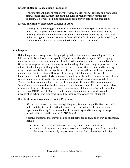#### **Effects of Alcohol usage during Pregnancy**

[Drink](http://www.marchofdimes.com/prematurity/index_professionals_1157.asp)ing alcohol during pregnancy increases the risk for [miscarriage](http://www.marchofdimes.com/aboutus/1192.asp) and [premature](http://www.marchofdimes.com/prematurity/index_professionals_1157.asp)  [birth. Stu](http://www.marchofdimes.com/1198.asp)dies also suggest that drinking during pregnancy may contribute to stillbirth. No level of drinking alcohol has been proven safe during pregnancy.

#### **Effects on Children Exposed to Alcohol in Utero**

Drinking alcohol during pregnancy can cause Fetal Alcohol Spectrum Disorders, with effects that range from mild to severe. These effects include mental retardation; learning, emotional and behavioral problems; and defects involving the heart, face and other organs. The most severe of these effects is fetal alcohol syndrome (FAS), a combination of physical and mental birth defects (March of Dimes).

#### **Hallucinogens**

Hallucinogens are strong mood‐changing drugs with unpredictable psychological effects. LSD, or "acid," is sold as tablets, capsules, liquid, or on absorbent paper. PCP is illegally manufactured as tablets, capsules, or colored powder and can be snorted, smoked or eaten. Other hallucinogens can come in many forms, including plants and cough suppressants. The effects of hallucinogens differ greatly from person to person, time to time, and from drug to drug. This is mainly due to the significant differences in strength, amount, and chemical makeup of active ingredients. Because of their unpredictable nature, the use of hallucinogens can be particularly dangerous. People who abuse PCP for long periods of time report memory loss, difficulties with speech and thinking, depression, and weight loss. These symptoms can persist up to a year after stopping PCP abuse. LSD has an unusual "echo." Many users have flashbacks — sudden repetitions of their LSD experiences — days or months after they stop using the drug. Hallucinogen‐related deaths (with the possible exception of MDMA and PCP) often result from accidental injury or suicide from the uncontrolled actions and emotions caused by intoxication (Above the Influence).

#### **Effects of Hallucinogen usage during Pregnancy**

PCP has been shown to cross through the placenta, collecting in the tissue of the fetus and remaining in the circulation for an extended period after the mother's last ingestion of the drug. This means that the fetus is exposed to the drug for longer periods of time than the mother (AADAC.com).

Negative outcomes that may arise due to hallucinogen consumption during pregnancy include:

- **Premature labor and delivery: the baby is born before full term**
- Maternal abruption: the premature separation of the placenta from the wall of the uterus, a potentially very serious situation for both mother and baby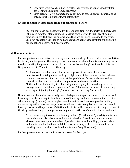- Low birth weight: a child born smaller than average is at increased risk for developing health problems as it grows
- Birth defects: PCP is suspected to contribute to some physical abnormalities noted at birth, including facial deformities

## **Effects on Children Exposed to Hallucinogen Usage in Utero**

PCP exposure has been associated with poor attention, rigid muscles and decreased reflexes in infants. Infants exposed to hallucinogens prior to birth are at risk of experiencing withdrawal symptoms once they are no longer exposed to the drug. Children prenatally exposed to hallucinogens are at increased risk for experiencing functional and behavioral impairments.

#### **Methamphetamines**

Methamphetamine is a central nervous system stimulant drug. It is a "white, odorless, bittertasting crystalline powder that easily dissolves in water or alcohol and is taken orally, intra‐ nasally (snorting the powder), by needle injection, or by smoking" (National Institute on Drug Abuse, n.d.). When it is used, the drug:

 common mechanism of action for most drugs of abuse. Dopamine is involved in ". . . increases the release and blocks the reuptake of the brain chemical (or neurotransmitter) dopamine, leading to high levels of the chemical in the brain—a reward, motivation, the experience of pleasure, and motor function. Methamphetamine's ability to release dopamine rapidly in reward regions of the brain produces the intense euphoria, or "rush," that many users feel after snorting, smoking, or injecting the drug" (National Institute on Drug Abuse, n.d.).

How a methamphetamine user's body reacts is dependent upon how much it has used and how long it has been using it. Small amounts of the drug can have the same effects as other stimulant drugs (cocaine) "including increased wakefulness, increased physical activity, decreased appetite, increased respiration, rapid heart rate, irregular heartbeat, increased blood pressure, and hyperthermia"(National Institute on Drug Abuse, n.d.). Long‐term use of the drug can have long‐term negative consequences on the user's health. These can include:

". . . extreme weight loss, severe dental problems ("meth mouth"), anxiety, confusion, insomnia, mood disturbances, and violent behavior. Chronic methamphetamine abusers can also display a number of psychotic features, including paranoia, visual and auditory hallucinations, and delusions (for example, the sensation of insects crawling under the skin)"(National Institute on Drug Abuse, n.d.).

Methamphetamines can remain in a user's system for 3‐4 days.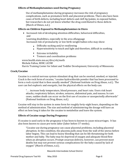## **Effects of Methamphetamines used During Pregnancy**

Use of methamphetamine during pregnanc[y increases the risk o](http://www.marchofdimes.com/professionals/14332_1154.asp)f pregnancy complications, such as premature birth and place[ntal problems. T](http://www.marchofdimes.com/professionals/14332_1210.asp)here also have been cases of birth defects, including heart defects and cleft lip/palate, in exposed babies, but researchers do not yet know whether the drug contributed to these defects (March of Dimes, n.d.).

# **Effects on Children Exposed to Methamphetamines in Utero**

• Increased risk of developing attention difficulties, behavioral difficulties, and

Learning disabilities, especially in the area of language

Increased risk of prematurity or low birth weight babies who may show:

- Difficulty sucking and/or swallowing
- Difficulty sucking and/or swallowing<br>• Hypersensitivity to touch and light and therefore, difficult in soothing
- Extreme irritability
- **Tremors and coordination problems**

www.health.state.mn.us/divs/eh/meth Michele Fallon, MSW, LICSW Harris Training Center for Infant and Toddler Development, University of Minnesota

# **Crack/Cocaine**

Cocaine is a central nervous system stimulant drug that can be snorted, smoked, or injected. Crack is the rock form of cocaine, "cocaine hydrochloride powder that has been processed to form a rock crystal that is then usually smoked" (National Institute on Drug Abuse, n.d.). The user can feel euphoric and energetic, but the physical effects on the body can:

". . . increase body temperature, blood pressure, and heart rate. Users risk heart attacks, respiratory failure, strokes, seizures, abdominal pain, and nausea. In rare cases, sudden death can occur on the first use of cocaine or unexpectedly afterwards" (National Institute on Drug Abuse, n.d.).

Cocaine will stay in the system in some form for roughly forty‐eight hours, depending on the method of administration. The size and method of administering the dosage will have an effect on how long it takes for the cocaine to metabolize and leave the system.

# **Effects of Cocaine usage During Pregnancy**

If cocaine is used early in the pregnancy it has been to known to cause miscarriages. It has also been known to cause pre‐term labor (labor before 37 weeks).

"Cocaine use during pregnancy can cause placental problems, including placental abruption. In this condition, the placenta pulls away from the wall of the uterus before labor begins. This can lead to heavy bleeding that can be life threatening for both mother and baby. The baby may be deprived of oxygen and adequate blood flow when an abruption occurs. Prompt cesarean delivery, however, can prevent most deaths but may not prevent serious complications for the baby caused by lack of oxygen" (March of Dimes, n.d.).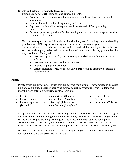## **Effects on Children Exposed to Cocaine in Utero**

Immediately after birth, some cocaine‐exposed infants:

- Are jittery, have tremors, irritable, and sensitive to the mildest environmental stimulation
- Have stiff muscles and prolonged early reflexes
- Cry often, trouble falling asleep and easily awakened, difficulty calming themselves
- *Or* can display the opposite effect by sleeping most of the time and appear to shut down to avoid stimuli

Most of these symptoms will diminish within the first year. Irritability, sleep and feeding problems and difficulty with calming may continue into the second year.

These cocaine‐exposed babies are also at an increased risk for developmental problems such as cerebral palsy, seizure disorder, and mental retardation. As they grow older, they may also have difficulty with:

- Less age-appropriate play and more impulsive behaviors than non-exposed infants
- Less secure attachment to their caregivers
- Delayed language development
- Lack of tolerance for frustration, easily distracted, and difficulty organizing their behavior

## **Opiates**

Opiate drugs are any group of drugs that are derived from opium. They are used to alleviate pain and can include naturally occurring opiates as well as synthetic forms. Codeine and morphine are naturally occurring while, others are:

- 
- hydrocodon[e](http://www.ehow.com/about_5046206_opiate-drug.html)<sup>r</sup>
- heroin **•** meperidine (Demerol) propoxyphene
	- oxycodone (Percodan) (Darvon)
- 
- 
- (Dilaudid) methadone (Dolophine)
- 
- hydromorphone fentanyl (Sublimaza) pentazocine (Talwin)

All opiate drugs have similar effects to varying degrees. Short‐term effects include a surge of euphoria and clouded thinking followed by alternately wakeful and drowsy states (National Institute on Drug Abuse, n.d.). The biggest side effect that users report is constipation. "Heroin depresses breathing, thus, overdose can be fatal. Users who inject the drug risk infectious diseases such as HIV/AIDS and hepatitis" (National Institute on Drug Abuse, n.d.).

Opiates will stay in your system for 2 to 5 days depending on the amount used. An opiate will remain in the bloodstream for 6-12 hours.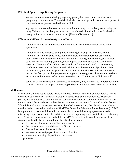#### **Effects of Opiate usage During Pregnancy**

Women who use heroin during pregnancy greatly increase their risk of serious pregnancy complications. These risks include poor fetal growth, premature rupture of the membranes, premature birth and stillbirth.

A pregnant woman who uses heroin should not attempt to suddenly stop taking the drug. This can put her baby at increased risk of death. She should consult a health care provider or drug‐treatment center (March of Dimes, n.d.).

#### **Effects on Children Exposed to Opiate in Utero**

Newborn infants born to opiate addicted mothers often experience withdrawal symptoms.

Newborn infants of opiate‐using mothers may go through withdrawal, called "neonatal abstinence syndrome," which consists of central nervous system and digestive system symptoms that may include irritability, poor feeding, poor weight gain, ineffective sucking, yawning, sneezing and tremulousness, and sometimes seizures. They are often of low birth weight and have small head circumference, conditions associated with increased risk for later developmental problems. Most withdrawal symptoms disappear by age 2 months, but the irritability may persist during the first year or longer, contributing to caretaking difficulties similar to those encountered by parents of cocaine-affected infants (The Future of Children n.d.).

Whether or not the infant experiences withdrawal, they still may be hypersensitive to stimuli. This can be helped by keeping the lights and noise down low and swaddling.

#### **Methadone**

Methadone is a long-acting opioid that is often used to block the effects of other opioids. Using methadone as a treatment for opioid addiction is called Methadone Maintenance Treatment (MMT) and will not cause birth defects but can cause withdrawal. Withdrawal from MMT does not mean the baby is addicted. Babies born to mothers on methadone do as well as other babies. While it is not known the long-term effects of methadone on infants, their health is much better than babies born to mothers on heroin (SAMSHA Center for Substance Abuse Treatment). MMT is important to prevent withdrawal in the mother because withdrawal symptoms can lead to miscarriage or premature birth. In addition, needles are a primary source of infection for the drug user. That infection can pass on to the fetus so MMT is used to help stop the use of needles. Appropriate MMT also has several other benefits for the mother:

- Reduces or eliminates craving for opioid drugs
- Prevents the onset of withdrawal for 24 hours or more
- Blocks the effects of other opioids
- Promotes increased physical and emotional health
- Raises the overall quality of life of the patient (SAMSHA)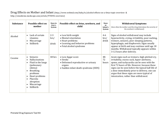# Drug Effects on Mother and Infant (http://www.webmd.com/baby/tc/alcohol-effects-on-a-fetus-topic-overview &

http://emedicine.medscape.com/article/978492‐overview)

| <b>Substance</b> | <b>Possible effect on</b><br>mother                                                                                                                                                           | Stays in<br>User's<br>System | Possible effect on fetus, newborn, and<br>child                                                                                | <b>Stays</b><br>in<br>Infant's<br>System | <b>Withdrawal Symptoms</b><br>(how often the mother used the drug determines the severity of<br>the newborn's withdrawal)                                                                                                                                                                                                                                                                   |
|------------------|-----------------------------------------------------------------------------------------------------------------------------------------------------------------------------------------------|------------------------------|--------------------------------------------------------------------------------------------------------------------------------|------------------------------------------|---------------------------------------------------------------------------------------------------------------------------------------------------------------------------------------------------------------------------------------------------------------------------------------------------------------------------------------------------------------------------------------------|
| Alcohol          | Lack of certain<br>vitamins<br>Miscarriage<br>Stillbirth<br>$\bullet$                                                                                                                         | $2 - 3$<br>hrs/<br>drink     | • Low birth weight<br>• Mental retardation<br>• Heart problems<br>• Learning and behavior problems<br>• Fetal alcohol syndrome | $4 - 6$<br>hrs/<br>drink                 | Signs of alcohol withdrawal may include<br>hyperactivity, crying, irritability, poor sucking,<br>tremors, seizures, poor sleeping patterns,<br>hyperphagia, and diaphoresis. Signs usually<br>appear at birth and may continue until age 18<br>months. Withdrawal typically appears within<br>3-12 hours after delivery.                                                                    |
| Cocaine          | Seizures<br>$\bullet$<br>Hallucinations<br>Fluid in the lungs<br>(pulmonary<br>edema)<br><b>Breathing</b><br>problems<br>Heart problems<br>Placenta<br>abruption<br>Miscarriage<br>Stillbirth | 48 hrs                       | • Low Apgar score<br>$\bullet$ Stroke<br>• Deformed reproductive or urinary<br>organs<br>• Sudden infant death syndrome (SIDS) | 48-<br>72<br>hours                       | Acute signs such as tremors, high-pitched cry,<br>irritability, excess suck, hyper-alertness,<br>apnea, and tachycardia can be seen with the<br>first 72 hours of life. However, because these<br>signs can be seen before the typical half-life of<br>a dose immediately prior to delivery, one can<br>argue that these signs are more typical of<br>intoxication, rather than withdrawal. |

Prenatal Drug Exposure Tool Kit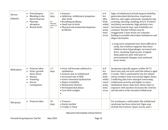| Heroin<br>(Opiate) | Preeclampsia<br>$\bullet$<br>Bleeding in the<br>third trimester<br>Placenta<br>$\bullet$<br>abruption<br>Breech birth<br>$\bullet$               | $2 - 5$<br>days<br>(in<br>bloodstr<br>eam 6-12<br>hrs) | • Seizures<br>• Addiction, withdrawal symptoms<br>after birth<br>• Breathing problems<br>• Small size at birth<br>• Physical and mental development<br>problems                                                                                | $6 - 8$<br>hrs<br>after<br>birth<br>withd<br>rawal<br>symp<br>toms<br>occur | Signs of withdrawal include hyperirritability,<br>gastrointestinal dysfunction, respiratory<br>distress, and vague autonomic symptoms (eg,<br>yawning, sneezing, mottling, fever). Tremors<br>and jittery movements, high-pitched cries,<br>increased muscle tone, and irritability are<br>common. Normal reflexes may be<br>exaggerated. Loose stools are common,<br>leading to possible electrolyte imbalances and<br>diaper dermatitis.<br>o Long-term symptoms have been difficult to<br>study, but evidence supports that these<br>children show hyperphagia, increased oral<br>drive, sweating, hyperacusis, irregular<br>sleep patterns, poor tolerance to<br>environmental changes, and continued<br>loose stools. |
|--------------------|--------------------------------------------------------------------------------------------------------------------------------------------------|--------------------------------------------------------|------------------------------------------------------------------------------------------------------------------------------------------------------------------------------------------------------------------------------------------------|-----------------------------------------------------------------------------|----------------------------------------------------------------------------------------------------------------------------------------------------------------------------------------------------------------------------------------------------------------------------------------------------------------------------------------------------------------------------------------------------------------------------------------------------------------------------------------------------------------------------------------------------------------------------------------------------------------------------------------------------------------------------------------------------------------------------|
| Methadone          | Preterm labor<br>Fetus' growth<br>$\bullet$<br>slows down<br>Nausea<br>$\bullet$<br>Vomiting<br>$\bullet$<br>Severe<br>$\bullet$<br>constipation | $1 - 7$<br>days                                        | • Fetus will become addicted to<br>methadone<br>• Seizures due to withdrawal<br>• Increased risk of SIDS<br>• Gastro-intestinal dysfunction<br>• Hyper-irritability<br>• Respiratory distress<br>• Developmental delays<br>• Low birth weights | $6 - 8$<br>hrs<br>after<br>birth<br>withd<br>rawal<br>symp<br>toms<br>occur | Symptoms typically appear within 48-72<br>hours but may not start until the infant is aged<br>3 weeks. This is particularly true for infants<br>whose mothers took excessively higher doses.<br>Conflicting data have emerged concerning<br>withdrawal severity and higher in-utero<br>methadone doses. Data have shown that co-<br>exposure with nicotine increases the severity<br>and duration of the neonatal withdrawal.                                                                                                                                                                                                                                                                                              |
| Marijuana          | Preterm labor<br>$\bullet$                                                                                                                       | 10<br>days                                             | • Tremors<br>• Easily startled<br>• Cranky or fussy                                                                                                                                                                                            |                                                                             | For marijuana, a mild opiate like withdrawal<br>syndrome has been observed. Signs may<br>include fine tremors, hyper-acusis, and a                                                                                                                                                                                                                                                                                                                                                                                                                                                                                                                                                                                         |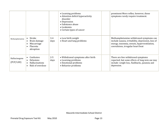|                            |                                                                           |                 | • Learning problems<br>• Attention deficit hyperactivity<br>disorder<br>• Depression<br>• Substance abuse<br>$\bullet$ Leukemia<br>• Certain types of cancer | prominent Moro reflex; however, these<br>symptoms rarely require treatment.                                                                                                      |
|----------------------------|---------------------------------------------------------------------------|-----------------|--------------------------------------------------------------------------------------------------------------------------------------------------------------|----------------------------------------------------------------------------------------------------------------------------------------------------------------------------------|
| Methamphetamine            | Stroke<br>Brain damage<br>Miscarriage<br>Placenta<br>abruption            | $3 - 4$<br>days | • Low birth weight<br>• Heart and lung problems                                                                                                              | Methamphetamine withdrawal symptoms can<br>include nausea, irritability, depression, loss of<br>energy, insomnia, sweats, hyperventilation,<br>convulsions, irregular heart beat |
| Hallucinogens<br>(PCP/LSD) | Confusion<br>Delusions<br>$\bullet$<br>Hallucinations<br>Risk of overdose | $2 - 5$<br>days | • Withdrawal symptoms after birth<br>• Learning problems<br>• Emotional problems<br>• Behavior problems                                                      | There are few withdrawal symptoms<br>reported, but some effects of long term use may<br>include: weight loss, flashbacks, paranoia and<br>depression.                            |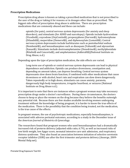#### **Prescription Medications**

Prescription drug abuse is known as taking a prescribed medication that is not prescribed to the user of the drug or taking it for reasons or in dosages other than as prescribed. The biggest side effect of prescription drug abuse is addiction. There are prescription medications that are commonly abused and these can include:

opioids (for pain), central nervous system depressants (for anxiety and sleep disorders), and stimulants (for ADHD and narcolepsy). Opioids include hydrocodone (Vicodin®), oxycodone (OxyContin®), propoxyphene (Darvon®), hydromorphone (Dilaudid®), meperidine (Demerol®), and diphenoxylate (Lomotil®). Central nervous system depressants include barbiturates such as pentobarbital sodium (Nembutal®), and benzodiazepines such as diazepam (Valium®) and alprazolam (Xanax®). Stimulants include dextroamphetamine (Dexedrine®), methylphenidate (Ritalin® and Concerta®), and amphetamines (Adderall®)(National Institute on Drug Abuse, n.d.).

Depending upon the type of prescription medication, the side effects are varied.

Long-term use of opioids or central nervous system depressants can lead to physical dependence and addiction. Opioids can produce drowsiness, constipation and, depending on amount taken, can depress breathing. Central nervous system depressants slow down brain function; if combined with other medications that cause drowsiness or with alcohol, heart rate and respiration can slow down dangerously. Taken repeatedly or in high doses, stimulants can cause anxiety, paranoia, dangerously high body temperatures, irregular heartbeat, or seizures (National Institute on Drug Abuse n.d.).

It is important to note that there are instances when a pregnant woman may take necessary prescription drugs under a doctor's surveillance. During these circumstances, the doctors choose to keep or place the women on the drug because they believe the benefits outweigh any potential risk. Because there are few studies available involving women undergoing treatment without the knowledge of being pregnant, it is harder to know the true effects of the medication. There is the possibility that the condition being treated, not the medication, is the true cause of the effects.

 the *American Journal of Obstetrics & Gynecology*. In pregnant women, the use of psychotropic medications, especially benzodiazepines, is associated with adverse perinatal outcomes, according to a study in the December issue of

The researchers found that pregnant women who used benzodiazepines had a dramatically increased risk of preterm delivery (adjusted odds ratio, 6.79), as well as increased risks of low birth weight, low Apgar score, neonatal intensive care unit admission, and respiratory distress syndrome. They also found an association between initiation of selective serotonin receptor inhibitor (SSRI) use after the first trimester and preterm delivery (Ansorge, 2009‐ Mental Help.net).

Prenatal Drug Exposure Tool Kit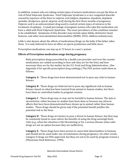In addition, women who are taking certain types of seizure medications can put the fetus at risk of Fetal Valproate Syndrome. Fetal Valproate Syndrome is a rare congenital disorder caused by exposure of the fetus to valproic acid (dalpro, depakene, depakote, depakote sprinkle, divalproex, epival, myproic acid) during the first three months of pregnancy. Valproic acid is an anticonvulsant drug used to control certain types of seizures in the treatment of epilepsy. A small percentage of pregnant women who take this medication can have a child with Fetal Valproate Syndrome. The exact prevalence of this condition remains to be established. Symptoms of this disorder may include spina bifida, distinctive facial features, and other musculoskeletal abnormalities (NORD, 2010, children.webmd.com).

Little is also known about the effects of medications/drugs on the baby if the father takes them. It is only believed to have an effect on sperm production and little more.

Prescription medications can stay up to 72 hours in a user's system.

# **Effects of Prescription medication usage during pregnancy**

Both prescription drugs prescribed by a health care provider and over the counter medications are ranked according to how safe they are for the fetus and how necessary they are for the mother by the U.S. Food and Drug Administration. (See Appendix A for specific prescription drug rankings.) The FDA system ranks them as follows:

**Category A** ‐ These drugs have been demonstrated not to pose any risks to human fetuses.

**Category B** ‐ These drugs are believed not to pose any significant risk to human fetuses, based on what has been learned from animal or human studies, but there have been no controlled studies in pregnant women.

**Category C** ‐ These drugs may or may not be harmful to human fetuses. The data is inconclusive; either because no studies have been done or because any adverse affects that have been demonstrated have shown up in animal rather than human studies. These drugs should be given only if the potential benefit justifies the potential risk to the fetus.

**Category D** ‐ These drugs are known to pose a threat to human fetuses, but they may be commonly found in cases where the benefits of using the drug outweigh these risks (e.g., when the situation is life‐threatening or for a serious disease when safer drugs are not an option because they are ineffective).

**Category X** ‐ These drugs have been proven to cause fetal abnormalities in humans and should not be used under any circumstances during pregnancy. (In other words, Category X drugs are FDA‐approved, but they are not to be used by pregnant women.) (Physicians Desk Reference, 1999).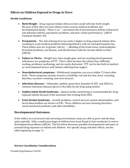# **Effects on Children Exposed to Drugs in Utero**

# **Health Conditions:**

- **Birth Weight** Drug‐exposed infants often are born small with low birth weight. Because of this, they are more likely to have serious medical problems and developmental delays. There is an, "…increased risk of neurosensory deficits, behavioral and attention deficits, psychiatric problems, and poor school performance," (ARCH Factsheet Number 49).
- **Prematurity** The risk of being born too early is higher in drug‐exposed infants often resulting in acute medical problems following delivery with an extended hospital stay. These babies also are at greater risk for, "…bleeding of the brain tissue, hydrocephalus, bronchial problems, eye disease, and interferences with the normal ability to feed," (ARCH).
- **Failure to Thrive** Weight loss, slow weight gain, and not reaching developmental milestones are symptoms of FTT. This is often because the infants have difficulty sucking, problems swallowing, and are easily distracted. FTT can be due both to medical or environmental factors with infants suffering from neglect.
- **Neurobehavioral symptoms** Withdrawal symptoms can occur within 72 hours after birth. These symptoms include tremors, irritability, red and dry skin, fever, sweating, diarrhea, excessive vomiting, and even seizures.
- **Infectious diseases** Chlamydia, syphilis, gonorrhea, hepatitis B, HIV, and AIDS are common infectious diseases given to the baby by the drug‐using mother.
- **Sudden Infant Death Syndrome** Apnea/cardiac monitoring is recommended for drug‐ exposed infants because of the increased risk of dying from SIDS.
- **Fetal Alcohol Syndrome** Growth problems, central nervous system abnormalities, and facial abnormalities are factors of FAS. These children can have learning disorders, social-emotional problems, and other disabilities.

# **Developmental Outcomes:**

If the child is in a structured and nurturing environment, many are able to grow and develop quite typically. Only a small percentage of children have been found to have moderate to severe developmental problems (ARCH). The list below discusses possible developmental outcomes of prenatal drug exposure on infants and children. For specific drugs and their effects, see the table beginning on page 11.

# **Service Coordinator Considerations**

Prenatal Drug Exposure Tool Kit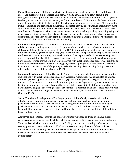- **Motor Development** Children from birth to 15 months prenatally exposed often exhibit poor fine, gross, and oral motor skills. Studies have shown rigidity as well as significant delays in the coordination. Everyday activities that can be affected include speaking, walking, buttoning, tying, and emergence of their equilibrium reactions and acquisition of their transitional motor skills. Dystonia is often present, but can resolve in as early as 8 months or last until 24 months. As these children grow older, motor deficits, including difficulty with motor planning, can be present. Motor planning includes initiating and sequencing movements in a motor activity, coordinating bilateral movement, and rapidly alternating movements. These children also show persistent fine tremors and a lack of using scissors. Children also showed a weakness in sensorimotor integration, spatial awareness, orientation, directionality, and left‐right discrimination. (Budden, Sarojini. Intrauterine Exposure to Drugs and Alcohol: How Do The Children Fare, 1996).
- **Cognitive Development** The affects on cognitive development have been shown to range from mild to severe, depending upon the type of exposure. Children with severe affects are often those children with fetal alcohol syndrome. Children with ADHD often show mild affects. These children often have difficulty generalizing and applying information to daily problem solving as well as show a weakness with visual motor integration tasks and visual perceptual skills. Visual sequencing may also be impaired. Finally, children exposed to drugs in utero often show problems with appropriate play. The emergence of symbolic play can be delayed with a lack in imitative play. These children do not demonstrate interactive behavior during play, use toys appropriately, transfer skills, or move from one activity to another while gaining experiential learning. Transitioning during these and other activities can be difficult. (Budden, 1996).
- and babbling with a lack in imitative vocal play. Auditory responses in infants can also be affected. • **Language Development** – Below the age of 12 months, some infants lack spontaneous vocalization Stuttering, slurring, poor articulation, and oral dyspraxia can be present. Telegraphic speech or unconnected single words is common. In addition, problems with grammar, syntax, meaning, and a lacking in vocabulary can occur. Frequently, these children have difficulty following directions and have auditory language processing deficits. Frustration is a common behavior of these children with expressive and receptive language problems due to the inability to communicate needs and wants (Budden, 1996).
- **SocialEmotional Development** The drug‐exposed child is often hyperactive with a short attention span. They are prone to lose control easily, be withdrawn, have mood swings, and problems with transitions. These children can either go from one adult to another showing no preferences for a particular person or overreact to separation from their primary caregiver. Distractibility, unfocused play, inattention, and impulsivity often interfere with the child's ability to learn (Budden, 1996).
- **Adaptive Skills** Because infants and children prenatally exposed to drugs often have motor, cognitive, and language delays, the child's self‐help or adaptive skills may in turn be affected as well. These skills can include, but are not limited to, feeding, dressing, and toileting. Infants experiencing feeding problems due to oral motor difficulties can result in weight loss and failure to thrive. Children exposed prenatally to drugs often show maladaptive behavior hindering independence because the child requires more supervision and assistance in order to learn how to behave appropriately.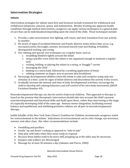# **Intervention Strategies**

# **Infants**

Intervention strategies for infants must first and foremost include treatment for withdrawal and withdrawal symptoms, seizures, apnea, and malnutrition. Besides treating any apparent health conditions through medical intervention, caregivers can apply various techniques in a general plan of care that can be individualized depending upon the need of the child. These techniques include:

- 1. Provide a calm environment: low lighting, soft voices, and slow transition from one activity to another.
- 2. Be aware of signs of escalated behavior and frantic distress states before they occur, e.g., increased yawns, hiccoughs, sneezes, increased muscle tone and flailing, irritability, disorganized sucking, and crying.
- 3. Use calming and special care techniques on a regular basis, such as
	- o swaddling blankets tightly around the infant
	- o using a pacifier even when the infant is not organized enough to maintain a regular suck
	- o rocking, holding, or placing the infant in a swing, or Snuggly™ carrier
	- o massaging the child
	- o bathing in a warm bath, followed by a soothing application of lotion
	- o rubbing ointment on diaper area to prevent skin breakdown
- stimulus at a time. Look for signs of infant distress and discontinue the activity if this occurs. 4. Encourage developmental abilities when the infant is calm and receptive using only one
- 5. Gradually increase the amount and time of daily developmental activities; encourage the child to develop self‐calming behaviors and self‐control of his own body movements (ARCH Factsheet Number 49).

Neurodevelopmental therapy can also be used to help treat children. This approach to therapy is based on the premise that therapeutic intervention should take into account the child's present neurodevelopmental and functional skills and build upon those, rather than intervening at the stage of a typically developing child of the same age. Sensory‐motor integration, facilitating normal balance and equilibrium, and inhibiting primitive reflexes are all part of neurodevelopmental therapy.

Judith Schaffer of the New York State Citizen's Coalition for Children recommends caregivers watch for overexcitement in the infants. Indications of overexcitement can be color change, eye aversions, sneezes, and other clues. Her other recommendations include:

- Swaddling and pacifiers
- Gentle "up and down" rocking as opposed to "side to side"
- Only play with baby when they seem ready to respond
- Because these babies tend to be more stiff, propping up at the sides may be necessary
- Jumpers and walkers are discouraged
- Massage for at least 30 minutes a day (Adamec and Pierce, 2000)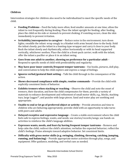# **Children**

Intervention strategies for children also need to be individualized to meet the specific needs of the child.

- **Feeding Problems** *–* Feed the baby more often; feed smaller amounts at one time; allow the infant to rest frequently during feeding. Place the infant upright for feeding; after feeding, place the child on his side or stomach to prevent choking; if vomiting occurs, clean the skin immediately to prevent irritation.
- **Irritability/unresponsive to caregiver** Reduce noise in the environment; turn down lights; swaddle the infant: wrap snugly in a blanket with arms bound close to the body. Hold the infant closely; put the infant in a bunting‐type wrapper and carry it close to your body. Rock the infant slowly and rhythmically, either horizontally or with its head supported vertically, whichever soothes. Place the child in a front‐pack carrier; walk with the infant; offer the infant a pacifier or place it in an infant swing.
- **Goes from one adult to another, showing no preference for a particular adult** *–* Respond to specific needs of child with predictability and regularity.
- **May have poor inner controls/frequent temper tantrums** Use books, pictures, doll play, and conversation to help the child explore and express a range of feelings.
- **Ignores verbal/gestural limit setting** Talk the child through to the consequence of the action.
- **Shows decreased compliance with simple, routine commands** Provide the child with explicitly consistent limits of behavior.
- **Exhibits tremors when stacking or reaching** Observe the child and note the onset of tremors, their duration, and how the child compensates for them; provide a variety of materials to enhance development and refinement of small motor skills, e.g., blocks, stacking toys, large Leggos™, and puzzles with large pieces. Sand and water play are soothing and appropriate.
- **Unable to end or let go of preferred object or activity** Provide attention and time to children who are behaving appropriately; provide child with an opportunity to take turns with peers and adults.
- **Delayed receptive and expressive language** Create a stable environment where the child feels safe to express feelings, wants, and needs; use stories/records/songs; use hands‐on activities to reinforce the child's language abilities.
- **Expresses wants, needs, and fears by having frequent temper tantrums** Remove and help calm the child; redirect the child's attention; verbalize the expected behavior; reflect the child's feelings. Praise attempts toward adaptive behavior. Set consistent limits.
- **Difficulty with gross motor skills (e.g. swinging, climbing, throwing, catching, jumping, running, and balancing)** – Provide appropriate motor activities through play, songs, and equipment. Offer guidance, modeling, and verbal cues as needed.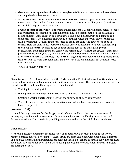- **Overreacts to separation of primary caregiver** Offer verbal reassurance; be consistent, and help the child learn to trust adults.
- **Withdraws and seems to daydream or not be there** Provide opportunities for contact; move close to the child, make eye contact, use verbal reassurance; allow, identify, and react to the child's expressions of emotions.
- **Frequent temper tantrums** Understand that a tantrum is usually a healthy release of rage and frustration; protect the child from harm; remove objects from the child's path if he is rolling on floor. Some children do not want to be held during a tantrum and doing so can cause more frustration. Remain calm, using a soothing voice; anger will only escalate the child's frustration. Do not shout or threaten to spank the child–the adult needs to be in control. Help the child to use words to describe emotions. Read stories about feelings. Help the child gain control by making eye contact, sitting next to the child, giving verbal reassurance, and offering physical comfort (rubbing back, etc.). Note the circumstances that provoked the tantrum, and try to avoid such confrontations when possible. Provide a neutral area for the child to work through the tantrum, (e.g., a large cushion or bean bag chair). Some children want to work through a tantrum alone; keep the child in sight, but do not interact until he is calm.

(ARCH Factsheet Number 49)

# **Family**

Diana Kronstadt, Ed.D., former director of the Early Education Project in Massachusetts and current consultant for perinatal substance abuse in California, offers several other intervention strategies to consider for the families of the drug-exposed infant/child:

- Training in parenting skills
- Having a basic knowledge and practical skills that match the needs of the child
- Creating a working partnership between the family and all service providers
- The child needs to bond or develop an attachment with at least one person who does not have to be parent

# (Kronstadt, 1991)

It is vital that any caregiver for the drug exposed infant / child learn the care routine, control techniques, possible medical conditions, developmental patterns, and background of the child. Proper education will also assist in providing an understanding of the child's behavioral cues.

# **Other Factors**

It is often difficult to determine the exact effect of a specific drug because polydrug use is very common among addicts. For example, illegal drugs are often combined with alcohol and cigarettes. This and the fact that illegal substances are seldom pure, makes it hard to determine which drug has been used, how much has been taken, when during the pregnancy was it taken, and which drug is producing the effect.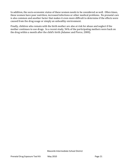In addition, the socio-economic status of these women needs to be considered as well. Often times, these women have poor nutrition, increased infections or other medical problems. No prenatal care is also common and another factor that makes it even more difficult to determine if the effects were caused from the drug usage or simply an unhealthy environment.

Finally, children who remain with the birth mother are also at risk for abuse and neglect if the mother continues to use drugs. In a recent study, 56% of the participating mothers were back on the drug within a month after the child's birth (Adamec and Pierce, 2000).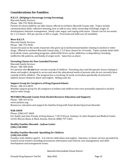# **Considerations for Families:**

#### **H.E.L.P. (Helping to Encourage Loving Parenting)**

Macomb Family Services

Phone: 586‐752‐9696 (Romeo)

Parents of school children can take classes offered in northern Macomb County only. Topics include communication skills, reflective listening, how to talk to your child, ownership of feelings, stages of development, behavior management, family rules anger, and coping with stress. Classes run for ten weeks for 2 1/2 hours. \$35 per person or \$45 a couple. Free book and child care (if available).

#### **More H.E.L.P.**

Macomb Family Services

Phone: 586‐752‐9696

Classes focused on the needs of parents who grew up in dysfunctional families relating to alcohol or other drugs. Offered in northern Macomb County only, 2 1/2 hour classes for 10 weeks. Topics include adult child of alcoholic issues, parenting programs, adult/child stress cycles, addiction co‐dependency, breaking ineffective life patterns, and family of origin work. Same fees as above

#### **Parenting Classes for NonCustodial Parents**

Macomb Family Services

Phone: 586‐468‐2656

 For parents who **do not** have current custody of children. Parenting class and therapeutic issues relating to abuse and neglect, designed to access and meet the educational needs of parents who do not currently have custody of their children. The program has a revolving 24‐week curriculum specifically structured to address issues related to abuse and neglect. Sliding scale fee.

#### **Support Group for Caregivers of DrugExposed Infants**

Phone: 586‐412‐0033 Monthly support group for all caregivers of infants and children who were prenatally exposed to alcohol and/or other drugs.

#### **MCFARES (Macomb County Fetal Alcohol Resource Education and Support)**

Phone: 586‐329‐6722 www.mcfares.org Resources, education and support for families living with Fetal Alcohol Spectrum Disorder.

#### **NARANON**

Phone: (586) 447‐2868 For family and close friends of drug abusers, 7:30‐9:30 p.m. Sundays, St. John Hospital and Medical Center. 22101 Moross Road, at Mack Avenue, Detroit, (888) 757‐5463.

#### **Healthy Families Macomb – Judson Center (586) 2580002**

#### **Healthy Families Macomb Spaulding for Children (248) 4430300**

Families with children aged 0 - 3 at risk for child abuse and neglect. Intensive, in-home services provided by trained social workers including assessment, information and referral, case management, and child development and management issues.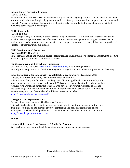#### **Judson Center, Nurturing Program (586) 2580222**

Home‐based and group services for Macomb County parents with young children. The program is designed to reduce child abuse and neglect by promoting effective family communication, cooperation, closeness, and respect. Practical techniques for handling challenging behaviors and situations, and using non‐violent, nurturing parenting skills are taught.

# **CARE of Macomb**

#### **(586) 5410033**

Case managers may visit clients in their current living environment (if it is safe, etc.) to assess needs and provide case management services. Afterwards, intensive case management and supportive services to achieve a successful outcome, and provide after‐care support to maintain recovery following completion of substance abuse treatment are available.

#### **Child Care Emotional Protection Program, (586) 4666912**

Home visits, coaching and training, onsite observation, lending library, developmental assessments, positive behavior support, referrals to community services.

#### **Families Anonymous SE Michigan Intergroup:**

Self-help & 12 Step groups for families coping with a drug/alcohol and behavioral problems in the family. Call (248) 435‐2027 or visit www.familiesanonymous.org for a meeting near you.

## **Baby Steps: Caring for Babies with Prenatal Substance Exposure (December 2003)**

Ministry of Children and Family Development, British Columbia

Information in this guide focuses on the daily care of babies aged birth to 6 months of age who have been exposed to substances in the womb. This caregiver guide is intended to be a hands-on resource for parents and caregivers of babies who have been prenatally exposed to alcohol and other drugs. Information for the handbook was gathered from various sources, including parents, caregivers, professionals and published books and articles. http://www.aidp.bc.ca/babysteps.pdf

#### **Caring for Drug Exposed Infants**

Pediatric Interim Care Center, The Newborn Nursery This web site has been designed to help caregivers in identifying the signs and symptoms of a drug exposed infant and to provide effective comforting and assisting techniques. These techniques have been developed by Barbara Drennen from the Pediatric Interim Care Center. http://www.drugexposedinfants.com

#### **Books:**

# **Living with Prenatal Drug Exposure: A Guide for Parents**

By Lissa Cowan and Jennifer Lee | Researched and developed by Emilie Cameron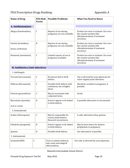# FDA Prescription Drugs Ranking: The Contract of Appendix A

| <b>Name of Drug</b>                           | <b>FDA Risk</b><br><b>Factor</b> | <b>Possible Problems</b>                                                   | <b>What You Need to Know</b>                                                                                      |
|-----------------------------------------------|----------------------------------|----------------------------------------------------------------------------|-------------------------------------------------------------------------------------------------------------------|
| <b>A. Antihistamines</b>                      |                                  |                                                                            |                                                                                                                   |
| Allegra (fexofenadine)                        | $\mathsf C$                      | Reports of use during<br>pregnancy are not available.                      | Product too new to evaluate. Use over-<br>the-counter product like<br>chlorpheniramine if treatment<br>necessary. |
| Claritin (loratidine),<br>Zyrtec (ceftrizine) | B                                | Reports of use during<br>pregnancy are not available.                      | Product too new to evaluate. Use over-<br>the-counter product like<br>chlorpheniramine if treatment<br>necessary. |
| Hismanal (astemizole)                         | $\mathsf{C}$                     | Limited reports of use in<br>pregnancy available.                          | Product too new to evaluate. Use over-<br>the-counter product like<br>chlorpheniramine if treatment<br>necessary. |
| <b>B. Antibiotics/Anti-infectives</b>         |                                  |                                                                            |                                                                                                                   |
| 1. Antifungals                                |                                  |                                                                            |                                                                                                                   |
| Terrazol (terconazole)                        | $\mathsf{C}$                     | No known link to birth<br>defects.                                         | Use as directed by your physician for<br>vulvo-vaginal yeast infections.                                          |
| Diflucan (fluconazole)                        | $\mathsf{C}$                     | Possible birth defects with<br>continuous use at higher<br>doses.          | Should be avoided in pregnancy, if<br>possible.                                                                   |
| Fulvicin (griseofulvin)                       | $\mathsf{C}$                     | May be associated with<br>conjoined twins.                                 | Avoid.                                                                                                            |
| Mycostatin (nystatin)<br>oral or cream        | B                                | Doesn't appear to be linked<br>to birth defects.                           | A possible alternative to terconazole.                                                                            |
| 2. Antimalarials                              |                                  |                                                                            |                                                                                                                   |
| Aralen (chloroquine)                          | $\mathsf C$                      | May be responsible for<br>various birth defects.<br>Research inconclusive. | A safer alternative than quinine.                                                                                 |
| Paludrine (proguanil)                         | B                                | Doesn't appear to be linked<br>to birth defects.                           | May be best choice for malaria<br>prophylaxis in pregnancy.                                                       |
| Quinine                                       | D                                | Possible birth defects.                                                    | Use alternatives if possible.                                                                                     |
| 3. Antimalarials                              |                                  |                                                                            |                                                                                                                   |
| Isoniazid (INH)                               | $\mathsf C$                      | Toxic in animal embryos;<br>may cause neurological<br>abnormalities.       | Use only as directed by your physician.                                                                           |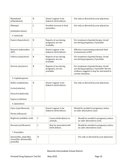| Myambutol<br>(ethambutol)                                             | B            |             |                                                  | Doesn't appear to be<br>linked to birth defects.         |  | Use only as directed by your physician.                                                                                                                |  |                                                                              |
|-----------------------------------------------------------------------|--------------|-------------|--------------------------------------------------|----------------------------------------------------------|--|--------------------------------------------------------------------------------------------------------------------------------------------------------|--|------------------------------------------------------------------------------|
| Rifampin                                                              | C            |             |                                                  | Possible increase in fetal<br>anomalies.                 |  | Use only as directed by your physician.                                                                                                                |  |                                                                              |
| (antituberculosis)                                                    |              |             |                                                  |                                                          |  |                                                                                                                                                        |  |                                                                              |
| 4. Antivirals                                                         |              |             |                                                  |                                                          |  |                                                                                                                                                        |  |                                                                              |
| Famvir (famciclovir)                                                  | $\, {\bf B}$ |             |                                                  | Reports of use during<br>pregnancy are not<br>available. |  | For treatment of genital herpes. Avoid<br>use during pregnancy, if possible.                                                                           |  |                                                                              |
| Retrovir (zidovudine-<br>AZT)                                         | $\mathsf C$  |             |                                                  | Doesn't appear to be<br>linked to birth defects.         |  | Effective in preventing maternal-fetal<br>transmission of HIV.                                                                                         |  |                                                                              |
| Valtrex (valcyclovir)                                                 | $\, {\bf B}$ |             |                                                  |                                                          |  | Reports of use during<br>pregnancy are not<br>available.                                                                                               |  | For treatment of genital herpes. Avoid<br>use during pregnancy, if possible. |
| Zovirax (acyclovir)                                                   | B            |             |                                                  | Reports of use during<br>pregnancy are not<br>available. |  | For treatment of genital herpes. Avoid<br>use during pregnancy, if possible. Recent<br>evidence suggests it may be warranted in<br>certain situations. |  |                                                                              |
| 5. Cephalosporins                                                     |              |             |                                                  |                                                          |  |                                                                                                                                                        |  |                                                                              |
| Keflex (cephalexin),                                                  | $\, {\bf B}$ |             | Doesn't appear to be<br>linked to birth defects. |                                                          |  | Use only as directed by your physician.                                                                                                                |  |                                                                              |
| Ceclor(cefaclor),                                                     |              |             |                                                  |                                                          |  |                                                                                                                                                        |  |                                                                              |
| Duricef (cefadroxil),                                                 |              |             |                                                  |                                                          |  |                                                                                                                                                        |  |                                                                              |
| Suprax (cefixime)                                                     |              |             |                                                  |                                                          |  |                                                                                                                                                        |  |                                                                              |
| 6. Quinolones                                                         |              |             |                                                  |                                                          |  |                                                                                                                                                        |  |                                                                              |
| Cipro (ciprofloxacin)                                                 | $\mathsf C$  |             |                                                  | Doesn't appear to be<br>linked to birth defects.         |  | Should be avoided in pregnancy unless<br>no safer alternatives exist.                                                                                  |  |                                                                              |
| Floxin (ofloxacin)                                                    |              |             |                                                  |                                                          |  |                                                                                                                                                        |  |                                                                              |
| NegGram (nalidixic acid)                                              |              | $\mathsf C$ |                                                  | Causes birth defects in<br>animals.                      |  | Should be avoided in pregnancy unless<br>no safer alternatives exist.                                                                                  |  |                                                                              |
| Noroxin (norfloxacin)                                                 | $\mathsf C$  |             |                                                  | May be associated with<br>birth defects.                 |  | Should be avoided in pregnancy unless<br>no safer alternatives exist.                                                                                  |  |                                                                              |
| 7. Penicillins                                                        |              |             |                                                  |                                                          |  |                                                                                                                                                        |  |                                                                              |
| Amoxicillin, ampicillin,<br>cloxacillin, dicloxacillin,<br>penicillin |              | B           |                                                  |                                                          |  | Use only as directed by your physician.                                                                                                                |  |                                                                              |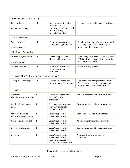|                                                      | 8. Sulfonamides (Sulfa Drugs) |                                                                                                                          |                                                                                                                         |  |  |  |
|------------------------------------------------------|-------------------------------|--------------------------------------------------------------------------------------------------------------------------|-------------------------------------------------------------------------------------------------------------------------|--|--|--|
| Bactrim, Septra<br>(sulfamethoxazole)                | B                             | May be associated with<br>birth defects. Not<br>confirmed. If administered<br>near term, may cause<br>neonatal jaundice. | Use only as directed by your physician.                                                                                 |  |  |  |
| 9. Antitrichomonas                                   |                               |                                                                                                                          |                                                                                                                         |  |  |  |
| Flagyl, Protostat<br>(metronidazole)                 | B                             | Controversy regarding<br>safety during pregnancy.                                                                        | Should be avoided in first trimester and<br>used only if absolutely necessary in<br>second and third trimesters.        |  |  |  |
| 10. Urinary Antibiotics                              |                               |                                                                                                                          |                                                                                                                         |  |  |  |
| Macrodantin/Macrobid<br>(nitrofurantoin)             | B                             | Doesn't appear to be<br>linked to birth defects.                                                                         | Avoid using near term or with suspected<br>G6PD deficiency (a genetic disorder that<br>weakens red blood cells).        |  |  |  |
| Monurol (fosfomycin)                                 | B                             | Reports of use during<br>pregnancy are not<br>available.                                                                 | Taken as a single dose.                                                                                                 |  |  |  |
| 11. Scabicides/Pediculocides (Anti-lice and Scabies) |                               |                                                                                                                          |                                                                                                                         |  |  |  |
| Kwell (lindane shampoo)                              | B                             | May be associated with<br>nerve damage and anemia.                                                                       | Use pyrethrins with piperonyl butoxide<br>for lice infestations in pregnancy. See<br>over-the-counter medication chart. |  |  |  |
| 12. Other                                            |                               |                                                                                                                          |                                                                                                                         |  |  |  |
| Augmentin<br>(clavulonate/amoxicillin)               | B                             | May be associated with<br>spina bifida. Not<br>confirmed.                                                                | Use only as directed by your physician.                                                                                 |  |  |  |
| Betadine (povidone-<br>iodine)                       | D                             | Prolonged use or use near<br>term may cause fetal<br>thyroid disorder.                                                   | Use only as directed by your physician.                                                                                 |  |  |  |
| Betasept, Hibiclens<br>(chlorhexidine gluconate)     | B                             | Doesn't appear to be<br>linked to birth defects.                                                                         | Used as a presurgical skin cleanser.                                                                                    |  |  |  |
| Biaxin (clarithromycin)                              | $\mathbf B$                   | Doesn't appear to be<br>linked to birth defects.                                                                         | Related to erythromycin, but newer.                                                                                     |  |  |  |
| Cleocin (clindamycin)                                | $\, {\bf B}$                  | Doesn't appear to be<br>linked to birth defects.                                                                         | Use only as directed by your physician.                                                                                 |  |  |  |
| Erythromycin                                         | B                             | Doesn't appear to be<br>linked to birth defects.<br>Possible maternal liver<br>toxicity with certain forms               | Preferred drug in pregnancy for<br>chlamydia.                                                                           |  |  |  |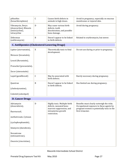| pHisoHex<br>(hexachlorophene)                                                 | C           | Causes birth defects in<br>animals in high doses.                                        | Avoid in pregnancy, especially on mucous<br>membranes or injured skin.                                                              |
|-------------------------------------------------------------------------------|-------------|------------------------------------------------------------------------------------------|-------------------------------------------------------------------------------------------------------------------------------------|
| Vibramycin, Doryx<br>(doxycycline), Minocin<br>(minocycline),<br>tetracycline | D           | May cause various birth<br>defects, tooth<br>discoloration, and possible<br>bone damage. | Avoid during pregnancy.                                                                                                             |
| Zithromax<br>(azithromycin)                                                   | B           | Doesn't appear to be linked<br>to birth defects.                                         | Related to erythromycin, but newer.                                                                                                 |
| <b>C. Antilipemics (Cholesterol-Lowering Drugs)</b>                           |             |                                                                                          |                                                                                                                                     |
| Lipitor (atorvastatin),<br>Mevacor (lovastatin),                              | X           | Theoretically toxic to fetal<br>development.                                             | Do not use during or prior to pregnancy.                                                                                            |
| Lescol (fluvastatin),<br>Pravachol (pravastatin),                             |             |                                                                                          |                                                                                                                                     |
| Zocor (simvastatin)                                                           |             |                                                                                          |                                                                                                                                     |
| Lopid (gemfibrozil)                                                           | $\mathsf C$ | May be associated with<br>birth defects.                                                 | Rarely necessary during pregnancy.                                                                                                  |
| Questran                                                                      | B           | Doesn't appear to be linked<br>to birth defects.                                         | Has limited use during pregnancy.                                                                                                   |
| (cholestyramine),                                                             |             |                                                                                          |                                                                                                                                     |
| Colestid (colestipol)                                                         |             |                                                                                          |                                                                                                                                     |
| <b>D. Cancer Drugs</b>                                                        |             |                                                                                          |                                                                                                                                     |
| Adriamycin<br>(doxorubicin),                                                  | D           | Highly toxic. Multiple birth<br>defects, neonatal bone-<br>marrow suppression, and       | Benefits must clearly outweigh the risks.<br>Occupational exposure to these agents by<br>pregnant women is potentially toxic in the |
| fluorouracil,                                                                 |             | intrauterine growth<br>restriction.                                                      | first trimester.                                                                                                                    |
| methotrexate, Cytoxan                                                         |             |                                                                                          |                                                                                                                                     |
| (cyclophosphamide),                                                           |             |                                                                                          |                                                                                                                                     |
| Idamycin (idarubicin),                                                        |             |                                                                                          |                                                                                                                                     |
| Novantrone<br>(mitoxantrone),                                                 |             |                                                                                          |                                                                                                                                     |
| Oncovin (vincristine),                                                        |             |                                                                                          |                                                                                                                                     |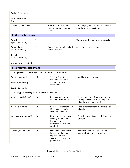| Platinol (cisplatin),                                        |              |                                                                                                                |                                                                                                            |
|--------------------------------------------------------------|--------------|----------------------------------------------------------------------------------------------------------------|------------------------------------------------------------------------------------------------------------|
| Vesanoid (tretinoin<br>Oral)                                 |              |                                                                                                                |                                                                                                            |
| Novadex (tamoxifen)                                          | D            | Toxic in animal studies.<br>Possibly carcinogenic as<br>well.                                                  | Avoid in pregnancy and for at least two<br>months before conceiving.                                       |
| <b>E. Muscle Relaxants</b>                                   |              |                                                                                                                |                                                                                                            |
| Flexeril<br>(cyclobenzaprine)                                | B            |                                                                                                                | Use only as directed by your physician.                                                                    |
| Parafon Forte<br>(chlorzoxazone),                            | $\mathsf{C}$ | Doesn't appear to be linked<br>to birth defects.                                                               | Avoid during pregnancy.                                                                                    |
| Robaxin<br>(methocarbamol),                                  |              |                                                                                                                |                                                                                                            |
| Norflex (orphenadrine)                                       |              |                                                                                                                |                                                                                                            |
| <b>F. Cardiovascular Drugs</b>                               |              |                                                                                                                |                                                                                                            |
| 1. Angiotensin-Converting Enzyme Inhibitors (ACE Inhibitors) |              |                                                                                                                |                                                                                                            |
| Capoten (captopril),<br>Vasotec (enalopril),                 | D            | Toxic to fetus. Causes<br>birth defects even in<br>second and third<br>trimesters.                             | Avoid during pregnancy.                                                                                    |
| Zestril (lisinopril)                                         |              |                                                                                                                |                                                                                                            |
| 2. Antihypertensives (Blood Pressure Medications)            |              |                                                                                                                |                                                                                                            |
| Aldomet (methyldopa)                                         | C            | Doesn't appear to be<br>linked to birth defects.                                                               | Discuss switching from your current<br>antihypertensive to methyldopa or<br>labetalol with your caregiver. |
| Inderal (propranolol)                                        | $\mathsf C$  | Decreased heart rate, low<br>blood sugar, possible<br>growth restriction.                                      | Consider switching to methyldopa or<br>labetalol.                                                          |
| Lopressor (metoprolol)                                       | $\mathsf C$  | First-trimester reports<br>lacking; mild neonatal<br>hypotension and<br>decreased heart rate a<br>possibility. | Consider switching to methyldopa or<br>labetalol.                                                          |
| Normodyne (labetalol)                                        | $\mathsf C$  | First-trimester reports<br>lacking; mild neonatal<br>hypotension and<br>decreased heart rate a<br>possibility. | Preferred to methyldopa by some<br>maternal-fetal medicine specialists.                                    |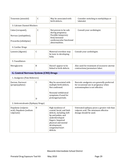| Tenormin (atenolol)                                                  | $\mathsf{C}$ | May be associated with<br>birth defects.                                                                                                                                                                        | Consider switching to methyldopa or<br>labetalol.                                                                      |  |  |  |
|----------------------------------------------------------------------|--------------|-----------------------------------------------------------------------------------------------------------------------------------------------------------------------------------------------------------------|------------------------------------------------------------------------------------------------------------------------|--|--|--|
| 3. Calcium Channel Blockers                                          |              |                                                                                                                                                                                                                 |                                                                                                                        |  |  |  |
| Calan (verapaml),<br>Norvasc (amlopidine),<br>Procardia (nifedipine) | C            | Not proven to be safe<br>during pregnancy.<br>Possible temporary<br>fetal/neonatal<br>cardiovascular functional<br>abnormalities.                                                                               | Consult your cardiologist.                                                                                             |  |  |  |
| 4. Cardiac Drugs                                                     |              |                                                                                                                                                                                                                 |                                                                                                                        |  |  |  |
| Lanoxin (digoxin)                                                    | $\mathsf{C}$ | Maternal overdose may<br>be toxic to developing<br>baby.                                                                                                                                                        | Consult your cardiologist.                                                                                             |  |  |  |
| 5. Vasodilators                                                      |              |                                                                                                                                                                                                                 |                                                                                                                        |  |  |  |
| Nitroglycerin                                                        | B            | Doesn't appear to be<br>linked to birth defects.                                                                                                                                                                | Also used for treatment of excessive uterine<br>contractions/premature labor.                                          |  |  |  |
| <b>G. Central Nervous System (CNS) Drugs</b>                         |              |                                                                                                                                                                                                                 |                                                                                                                        |  |  |  |
| 1. Analgesics (Pain Relievers)                                       |              |                                                                                                                                                                                                                 |                                                                                                                        |  |  |  |
| Darvon, Darvocet<br>(propoxyphene)                                   | $\mathsf C$  | May be associated with<br>multiple birth defects.<br>Not confirmed.<br>Neonatal withdrawal                                                                                                                      | Narcotic analgesics are generally preferred<br>for occasional use in pregnancy when<br>acetominophen is not effective. |  |  |  |
|                                                                      | D            | symptoms if used for<br>prolonged periods.                                                                                                                                                                      |                                                                                                                        |  |  |  |
| 2. Anticonvulsants (Epilepsy Drugs)                                  |              |                                                                                                                                                                                                                 |                                                                                                                        |  |  |  |
| Depakene (valproic<br>acid), Depakote (sodium<br>valproate)          | D            | High incidence of<br>cranial, facial, and limb<br>defects, including cleft<br>lip and palate, and<br>underdeveloped<br>fingers. Impaired<br>physical and mental<br>development,<br>congenital heart<br>defects. | Untreated epilepsy poses a greater risk than<br>valproic acid. The minimum effective<br>dosage should be used.         |  |  |  |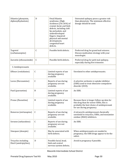| Dilantin (phenytoin,<br>diphenylhydantoin)      | D            | <b>Fetal Dilantin</b><br>syndrome. (High<br>incidence $(2\% - 26\%)$ of<br>cranial, facial, and limb<br>defects, including cleft<br>lip and palate, and<br>underdeveloped<br>fingers. Impaired<br>physical and mental<br>development,<br>congenital heart<br>defects. | Untreated epilepsy poses a greater risk<br>than phenytoin. The minimum effective<br>dosage should be used.                                                       |
|-------------------------------------------------|--------------|-----------------------------------------------------------------------------------------------------------------------------------------------------------------------------------------------------------------------------------------------------------------------|------------------------------------------------------------------------------------------------------------------------------------------------------------------|
| Tegretol<br>(carbamazepine)                     | $\mathsf{C}$ | Possible birth defects.                                                                                                                                                                                                                                               | Preferred drug for grand mal seizures.<br>Discuss medication strategy with your<br>neurologist.                                                                  |
| Zarontin (ethosuximide)                         | $\mathsf{C}$ | Possible birth defects.                                                                                                                                                                                                                                               | Preferred drug for petit mal epilepsy,<br>especially during first trimester.                                                                                     |
| 3. Antidepressants                              |              |                                                                                                                                                                                                                                                                       |                                                                                                                                                                  |
| Effexor (venlafaxine)                           | $\mathsf C$  | Limited reports of use<br>during pregnancy<br>available                                                                                                                                                                                                               | Unrelated to other antidepressants.                                                                                                                              |
| Luvox (fluvoxamine)                             | $\mathsf C$  | Reports of use during<br>pregnancy are not<br>available.                                                                                                                                                                                                              | A selective seritonin re-uptake inhibitor<br>(SSRI) used to treat obsessive-compulsive<br>disorder (OCD).                                                        |
| Paxil (paroxetine)                              | B            | Limited reports of use<br>during pregnancy<br>available.                                                                                                                                                                                                              | An SSRI.                                                                                                                                                         |
| Prozac (fluoxetine)                             | B            | Limited reports of use<br>during pregnancy<br>available.                                                                                                                                                                                                              | Because there is longer follow-up data for<br>this drug than for newer SSRIs, this is<br>probably the best choice of antidepressant<br>for use during pregnancy. |
| Remeron (mirtazapine)                           | $\mathsf C$  | Reports of use during<br>pregnancy are not<br>available.                                                                                                                                                                                                              | A tetracyclic antidepressant chemically<br>unrelated to tricyclics, SSRIs, and monamine<br>oxidase (MAO) inhibitors.                                             |
| Serzone (nefazodone)                            | $\mathsf C$  | Reports of use during<br>pregnancy are not<br>available.                                                                                                                                                                                                              | An SSRI.                                                                                                                                                         |
| Sinequan (doxepin)                              | $\mathsf C$  | May be associated with<br>birth defects.                                                                                                                                                                                                                              | When antidepressants are needed in<br>pregnancy, the SSRI drugs appear to be the<br>safest.                                                                      |
| Tricyclics including<br>Elavil (amitriptyline), | $\mathbf D$  | Possible facial, head,<br>limb and central<br>nervous system defects;                                                                                                                                                                                                 | Avoid in pregnancy if possible.                                                                                                                                  |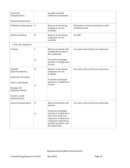| Surmontil<br>(trimipramine),                                                                                    |              | possible neonatal<br>withdrawal symptoms.                                                                                                                                  |                                                            |
|-----------------------------------------------------------------------------------------------------------------|--------------|----------------------------------------------------------------------------------------------------------------------------------------------------------------------------|------------------------------------------------------------|
| Tofranil (imipramine)                                                                                           |              |                                                                                                                                                                            |                                                            |
| Wellbutrin (bupropion)                                                                                          | $\, {\bf B}$ | Reports of use during<br>pregnancy are not<br>available.                                                                                                                   | Mechanism of action unrelated to other<br>antidepressants. |
| Zoloft (sertraline)                                                                                             | B            | Reports of use during<br>pregnancy are not<br>available.                                                                                                                   | An SSRI.                                                   |
| 4. Narcotic Analgesics                                                                                          |              |                                                                                                                                                                            |                                                            |
| Codeine                                                                                                         | $\mathsf C$  | May be associated with<br>multiple birth defects.<br>Not confirmed.                                                                                                        | Use only as directed by your physician.                    |
|                                                                                                                 | D            | If used for prolonged<br>periods or in high doses<br>at term.                                                                                                              |                                                            |
| Dilaudid<br>(hydromorphone),<br>OxyContin, Percodan,<br>Tylox, (oxycodone),<br>Synalgos-DC<br>(dihydrocodeine), | B<br>D       | Reports of use during<br>pregnancy are not<br>available.<br>If used for prolonged<br>periods or in high doses<br>at term.                                                  | Use only as directed by your physician.                    |
| Vicodin, Lortab<br>(hydrocodone)                                                                                |              |                                                                                                                                                                            |                                                            |
| Demerol (meperidine)                                                                                            | $\mathbf B$  | May be associated with<br>hernias.                                                                                                                                         | Use only as directed by your physician.                    |
|                                                                                                                 | D            | If used for prolonged<br>periods or in high doses<br>near term, baby may<br>experience withdrawal,<br>respiratory depression,<br>growth restriction and<br>neonatal death. |                                                            |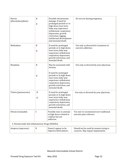| Heroin<br>(diacetylmorphine)                     | B<br>D | Possible chromosome<br>damage. If used for<br>prolonged periods or in<br>high doses near term,<br>baby may experience<br>withdrawal, respiratory<br>depression, growth<br>restriction, lagging<br>intellectual development<br>and neonatal death. | Do not use during pregnancy.                                                |
|--------------------------------------------------|--------|---------------------------------------------------------------------------------------------------------------------------------------------------------------------------------------------------------------------------------------------------|-----------------------------------------------------------------------------|
| Methadone                                        | B<br>D | If used for prolonged<br>periods or in high doses<br>near term, baby may<br>experience withdrawal,<br>respiratory depression,<br>growth restriction, and<br>neonatal death.                                                                       | Use only as directed for treatment of<br>narcotic addiction.                |
| Morphine                                         | B<br>D | May be associated with<br>hernias.<br>If used for prolonged<br>periods or in high doses<br>near term, baby may<br>experience withdrawal,<br>respiratory depression,<br>growth restriction, and<br>neonatal death.                                 | Use only as directed by your physician.                                     |
| Talwin (pentazocine)                             | B<br>D | If used for prolonged<br>periods or in high doses<br>near term, baby may<br>experience withdrawal,<br>respiratory depression,<br>growth restriction, and<br>neonatal death.                                                                       | Use only as directed by your physician.                                     |
| Ultram (tramadol)                                | C      | Possibly toxic in animals<br>at high doses-related to<br>codeine but not<br>addictive.                                                                                                                                                            | Too new to recommend over traditional<br>narcotic pain-relievers.           |
| 5. Nonsteroidal Anti-inflammatory Drugs (NSAIDs) |        |                                                                                                                                                                                                                                                   |                                                                             |
| Anaprox (naproxen)                               | B      | Doesn't appear to be<br>linked to birth defects.                                                                                                                                                                                                  | Should not be used by women trying to<br>conceive. May impair implantation. |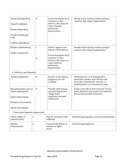| Ansaid (flurbiprofen),<br>Clinoril (sulindac),<br>Motrin (ibuprofen),<br>Ponstel (mefenamic<br>acid),<br>Voltaren (diclofenac) | D                | If used during the third<br>trimester or near<br>delivery, this drug can<br>cause neonatal<br>pulmonary<br>hypertension.                                                     | Should not be used by women trying to<br>conceive. May impair implantation.                                                                                       |  |
|--------------------------------------------------------------------------------------------------------------------------------|------------------|------------------------------------------------------------------------------------------------------------------------------------------------------------------------------|-------------------------------------------------------------------------------------------------------------------------------------------------------------------|--|
| Relafen (nabumetone),<br>Daypro (oxaprozin)                                                                                    | $\mathsf C$<br>D | Doesn't appear to be<br>linked to birth defects.<br>If used during the third<br>trimester or near<br>delivery, this drug can<br>cause neonatal<br>pulmonary<br>hypertension. | Should not be used by women trying to<br>conceive. May impair implantation.                                                                                       |  |
| 6. Sedatives and Hypnotics                                                                                                     |                  |                                                                                                                                                                              |                                                                                                                                                                   |  |
| Ambien (zolpidem)                                                                                                              | B                | Reports of use during<br>pregnancy are not<br>available.                                                                                                                     | Relatively new, so if sleeping pill is<br>absolutely needed, most doctors will<br>prescribe a barbiturate, narcotic, or<br>antihistamine for occasional use only. |  |
| Benzodiazepines such as<br>Valium (diazepam),<br>Xanax (alprazolam),<br>Klonipin (clonazepam)<br>Ativan (lorazepam)            | D                | Possible birth defects,<br>neonatal depression,<br>"floppy baby"<br>syndrome, neonatal<br>withdrawal.                                                                        | Avoid, especially in first trimester. Severe<br>panic disorders may need to be treated in<br>the second and third trimesters.                                     |  |
| 7. Stimulants/Appetite Suppresants                                                                                             |                  |                                                                                                                                                                              |                                                                                                                                                                   |  |
| Fastin, Adipex-P<br>(phentermine)                                                                                              | $\mathsf C$      | May be associated with<br>stillbirth.                                                                                                                                        | Avoid during pregnancy and preconceptionally.                                                                                                                     |  |
| Meridia<br>(sibutramine)                                                                                                       | $\mathsf C$      | Causes birth defects in<br>animals at higher<br>doses.                                                                                                                       | Avoid during pregnancy.                                                                                                                                           |  |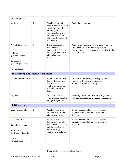| 8. Tranquilizers                                                                                             |              |                                                                                                                                                                                         |                                                                                                                                                               |  |
|--------------------------------------------------------------------------------------------------------------|--------------|-----------------------------------------------------------------------------------------------------------------------------------------------------------------------------------------|---------------------------------------------------------------------------------------------------------------------------------------------------------------|--|
| Lithium                                                                                                      | D            | Possible changes in<br>newborn heart rhythms<br>and thyroid function;<br>possible goiter,<br>jaundice, electrolyte<br>imbalance. Possible<br>birth defects, especially<br>of the heart. | Avoid during pregnancy.                                                                                                                                       |  |
| Phenothiazines such<br>as<br>Trilafon<br>(perphenazine),<br>Compazine<br>(prochlorperazine),<br>Fluphenazine | $\mathsf{C}$ | Research regarding<br>birth defects is<br>inconclusive. Possible<br>neurological effects on<br>fetus when taken close<br>to term.                                                       | Avoid using these drugs near term. It may be<br>safe to use some of these drugs for the<br>treatment of severe nausea and vomiting in the<br>first trimester. |  |
| H. Anticoagulants (Blood Thinners)                                                                           |              |                                                                                                                                                                                         |                                                                                                                                                               |  |
| Coumadin (warfarin)                                                                                          | D            | High incidence of birth<br>defects (for example,<br>"Fetal warfarin<br>syndrome"); may lead<br>to fetal hemorrhage or<br>death.                                                         | Do not use these drugs during pregnancy.<br>Heparin is the drug of choice when<br>anticoagulation is necessary.                                               |  |
| Heparin                                                                                                      | $\mathsf C$  | Fetal and maternal<br>complications possible<br>with prolonged use.                                                                                                                     | Generally preferable to Coumadin (warfarin)<br>when anticoagulation is needed in pregnancy.                                                                   |  |
| <b>I. Diuretics</b>                                                                                          |              |                                                                                                                                                                                         |                                                                                                                                                               |  |
| Lasix (furosemide)                                                                                           | $\mathsf C$  | Possible electrolyte<br>imbalance, increased<br>fetal urine output.                                                                                                                     | Should be used only in cases of severe<br>hypertension and other cardiovascular<br>disorders.                                                                 |  |
| Thiazides such as<br>Dyazide, Maxzide,<br>Aldactazide<br>(hydrochlorthiazide),<br>Diuril<br>(chlorothiazide) | D            | Bone-marrow<br>depression, possible<br>birth defects, decreased<br>platelet count (poor<br>blood clotting),<br>electrolyte imbalance.                                                   | Should be used only in cases of severe<br>hypertension and other cardiovascular<br>disorders.                                                                 |  |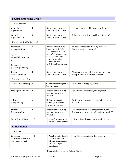| <b>J. Gastrointestinal Drugs</b>                                                                     |                  |                                                                                                                                                                                          |                                                                                             |  |
|------------------------------------------------------------------------------------------------------|------------------|------------------------------------------------------------------------------------------------------------------------------------------------------------------------------------------|---------------------------------------------------------------------------------------------|--|
| 1. Antidiarrheal                                                                                     |                  |                                                                                                                                                                                          |                                                                                             |  |
| Immodium<br>(loperamide)                                                                             | B                | Doesn't appear to be<br>linked to birth defects.                                                                                                                                         | Use only as directed by your physician.                                                     |  |
| Lomotil<br>(diphenoxylate)                                                                           | $\mathsf C$      | Doesn't appear to be<br>linked to birth defects.                                                                                                                                         | Related to narcotic meperidine. (Demerol).                                                  |  |
| 2. Anti-emetics (Antinausea)                                                                         |                  |                                                                                                                                                                                          |                                                                                             |  |
| Phenergan<br>(promethazine),<br>Tigan<br>(trimethobenzamide<br>),<br>Compazine<br>(prochlorperazine) | $\mathsf C$      | Doesn't appear to be<br>linked to birth defects.<br>Frequent use in later<br>part of pregnancy may<br>be associated with<br>neonatal jaundice,<br>depression and<br>withdrawal symptoms. | An option for severe morning sickness<br>(hyperemesis gravidarum).                          |  |
| Reglan<br>(metoclopramide)                                                                           | B                | Doesn't appear to be<br>linked to birth defects.                                                                                                                                         | Also used when needed to stimulate breast<br>milk production in nursing mothers.            |  |
| 3. Antisecretory Drugs                                                                               |                  |                                                                                                                                                                                          |                                                                                             |  |
| Cytotec (misoprostil)                                                                                | X                | Causes miscarriage and<br>birth defects.                                                                                                                                                 | Do not use during pregnancy.                                                                |  |
| Pepcid (famotidine)                                                                                  | $\boldsymbol{B}$ | Reports of use during<br>pregnancy are not<br>available.                                                                                                                                 | Use only as directed by your physician.                                                     |  |
| Prilosec<br>(omeprazole)                                                                             | $\mathsf C$      | No birth defects in<br>animals, but effects<br>unclear in humans.                                                                                                                        | Avoid during pregnancy, especially prior to<br>week 20.                                     |  |
| Prevacid<br>(lansoprazole)                                                                           | B                | Reports of use during<br>pregnancy are not<br>available.                                                                                                                                 | Structurally similar to omeprazole. Avoid<br>during pregnancy, especially prior to week 20. |  |
| Zantac (ranitidine)                                                                                  | $\mathbf B$      | Doesn't appear to be<br>linked to birth defects.                                                                                                                                         | Use only as directed by your physician.                                                     |  |
| <b>K. Hormones</b>                                                                                   |                  |                                                                                                                                                                                          |                                                                                             |  |
| 1. Adrenal                                                                                           |                  |                                                                                                                                                                                          |                                                                                             |  |
| Cortisone,<br>Hydrocortisone (forms<br>other than topical)                                           | D                | Possible birth defects.<br>Possible neonatal<br>adrenal suppression<br>and electrolyte<br>imbalance.                                                                                     | Switch to prednisone if necessary.                                                          |  |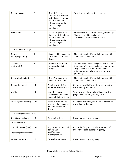| Dexamethasone                                     | $\mathsf{C}$ | Birth defects in<br>animals; no observed<br>birth defects in humans.<br>Possible neonatal<br>adrenal suppression<br>and electrolyte<br>imbalance. | Switch to prednisone if necessary.                                                                                                                                                          |  |
|---------------------------------------------------|--------------|---------------------------------------------------------------------------------------------------------------------------------------------------|---------------------------------------------------------------------------------------------------------------------------------------------------------------------------------------------|--|
| Prednisone                                        | B            | Doesn't appear to be<br>linked to birth defects.<br>Possible neonatal<br>adrenal suppression<br>and electrolyte<br>imbalance.                     | Preferred adrenal steroid during pregnancy.<br>Should be used instead of other<br>corticosteroids whenever possible.                                                                        |  |
| 2. Antidiabetic Drugs                             |              |                                                                                                                                                   |                                                                                                                                                                                             |  |
| Diabinase<br>(chlorpropamide)                     | D            | Suspected birth defects,<br>low blood sugar, fetal<br>death.                                                                                      | Change to insulin if your diabetes cannot be<br>controlled by diet alone.                                                                                                                   |  |
| Glucophage<br>(metformin)                         | B            | Appears to be the safest<br>of the oral diabetes<br>drugs.                                                                                        | Though insulin is the drug of choice for the<br>treatment of diabetes during pregnancy, this<br>drug may be preferred for women of<br>childbearing age who are not planning a<br>pregnancy. |  |
| Glucotrol (glipizide)                             | $\mathsf C$  | Doesn't appear to be<br>linked to birth defects.                                                                                                  | Change to insulin if your diabetes cannot be<br>controlled by diet alone.                                                                                                                   |  |
| Glynase (glyburide)                               | $\mathbf{D}$ | Possible birth defects<br>with first trimester use.                                                                                               | Change to insulin if your diabetes cannot be<br>controlled by diet alone.                                                                                                                   |  |
| Insulin                                           | B            | Low blood sugar.<br>Maternal insulin shock<br>can result in fetal death.                                                                          | Your dose may have to be adjusted during<br>pregnancy. Consult your physician.                                                                                                              |  |
| Orinase (tolbutamide)                             | $\mathbf D$  | Possible birth defects,<br>low fetal platelet count,<br>low blood sugar, fetal<br>death.                                                          | Change to insulin if your diabetes cannot be<br>controlled by diet alone.                                                                                                                   |  |
| 3. Antiprogesterone Drugs                         |              |                                                                                                                                                   |                                                                                                                                                                                             |  |
| RU486 (mifepristone)                              | X            | Causes abortion.                                                                                                                                  | Do not use during pregnancy.                                                                                                                                                                |  |
| 4. Antithyroid                                    |              |                                                                                                                                                   |                                                                                                                                                                                             |  |
| Propylthiouracil (PTU),<br>Tapazole (methimazole) | D            | May cause various birth<br>defects and<br>fetal/neonatal<br>hypothyroidism.                                                                       | PTU is the drug of choice for treatment of<br>hyperthyroidism during pregnancy.                                                                                                             |  |
| Radioactive Iodine                                | X            | Causes birth defects.                                                                                                                             | Do not use during pregnancy.                                                                                                                                                                |  |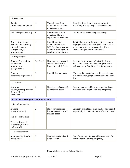| 5. Estrogens                                                                                            |           |                                                                                                                         |                                                                                                                                                                                  |  |
|---------------------------------------------------------------------------------------------------------|-----------|-------------------------------------------------------------------------------------------------------------------------|----------------------------------------------------------------------------------------------------------------------------------------------------------------------------------|--|
| Clomid,<br>Serophene(clomiphene)                                                                        | X         | Though rated X by<br>manufacturer, no birth<br>defects are proven.                                                      | A fertility drug. Should be used only after<br>possibility of pregnancy has been ruled out.                                                                                      |  |
| DES (diethylstilbestrol)                                                                                | X         | Reproductive organ<br>defects and future<br>reproductive problems.                                                      | Should not be used during pregnancy.                                                                                                                                             |  |
| Oral contraceptives<br>including the morning-<br>after pill (contain<br>estrogen and/or<br>progestogen) | X         | Possible genital<br>anomalies like with<br>DES. Possible advanced<br>neonatal bone age with<br>resulting short stature. | Stop taking your oral contraceptives as soon<br>as pregnancy is confirmed. (You should take a<br>pregnancy test as soon as possible if you<br>suspect that you may be pregnant.) |  |
| 6. Progestogens                                                                                         |           |                                                                                                                         |                                                                                                                                                                                  |  |
| Crinone, Prometrium,<br>Micronized<br>progesterone<br>(progesterone)                                    | Not Rated | No animal reports and<br>Doesn't appear to be<br>linked to birth defects.                                               | Used for the treatment of infertility, luteal<br>phase deficiency, and assisted reproductive<br>technologies in first 10 weeks of pregnancy.                                     |  |
| Provera<br>(medroxyprogesterone)                                                                        | D         | Possible birth defects.                                                                                                 | When used to treat abnormalities or absence<br>of menstruation, pregnancy must be ruled out<br>first.                                                                            |  |
| 7. Thyroid                                                                                              |           |                                                                                                                         |                                                                                                                                                                                  |  |
| Synthroid<br>(levothyroxine), Armour<br>thyroid (thyroid<br>hormones)                                   | A         | No adverse effects with<br>appropriate doses.                                                                           | Use only as directed by your physician. Dose<br>may need to be adjusted during pregnancy.                                                                                        |  |
| L. Asthma Drugs-Bronchodilators                                                                         |           |                                                                                                                         |                                                                                                                                                                                  |  |
| 1. Sympthomimetics                                                                                      |           |                                                                                                                         |                                                                                                                                                                                  |  |
| Alupent<br>(metaproterenol),                                                                            | C         | No apparent link to<br>birth defects in normal<br>inhaled doses.                                                        | Generally available as inhalers. Use as directed<br>by your physician in minimum effective doses.                                                                                |  |
| Max air (pirbuterol),                                                                                   |           |                                                                                                                         |                                                                                                                                                                                  |  |
| Ventolin, Proventil<br>(albuterol), Serevent<br>(salmeterol)                                            |           |                                                                                                                         |                                                                                                                                                                                  |  |
| 2. Antispasmodics                                                                                       |           |                                                                                                                         |                                                                                                                                                                                  |  |
| Aminophyllin, TheoDur<br>(theophyllin)                                                                  | C         | May be associated with<br>birth defects.                                                                                | One of a number of acceptable treatments for<br>chronic asthma during pregnancy.                                                                                                 |  |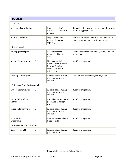| M. Other                         |              |                                                                                                            |                                                                                       |  |
|----------------------------------|--------------|------------------------------------------------------------------------------------------------------------|---------------------------------------------------------------------------------------|--|
| 1. Acne                          |              |                                                                                                            |                                                                                       |  |
| Accutane (isotretinoin)          | X            | Increased risk of<br>miscarriage and birth<br>defects.                                                     | Stop using the drug at least one month prior to<br>attempting pregnancy.              |  |
| Retin-A (tretinoin)              | C            | No proven adverse<br>effects when used<br>topically.                                                       | Not to be confused with Accutane (above) or<br>cancer drug Vesanoid (tretinoin oral). |  |
| 2. Antimigraine                  |              |                                                                                                            |                                                                                       |  |
| Amerge (naratriptan)             | $\mathsf{C}$ | Possibly toxic in<br>animals at higher<br>doses.                                                           | Limited reports in human pregnancy-avoid in<br>pregnancy.                             |  |
| Imitrex (sumatriptan)            | $\mathsf{C}$ | No apparent link to<br>birth defects, but data<br>lacking. Possible<br>increase in risk of<br>miscarriage. | Avoid in pregnancy.                                                                   |  |
| Midrin (isometheptene)           | C            | Reports of use during<br>pregnancy are not<br>available.                                                   | Use only as directed by your physician.                                               |  |
| 3. Urinary Tract Antispasmodics  |              |                                                                                                            |                                                                                       |  |
| Cystospaz (flavoxate)            | B            | Reports of use during<br>pregnancy are not<br>available.                                                   | Avoid in pregnancy.                                                                   |  |
| Detrol (tolterodine<br>tartrate) | C            | Possibly toxic in animal<br>pregnancies at high<br>doses.                                                  | Avoid in pregnancy.                                                                   |  |
| Ditropan (oxybutynin)            | B            | Reports of use during<br>pregnancy are not<br>available.                                                   | Avoid in pregnancy.                                                                   |  |
| Urospaz (l-<br>hyoscyamine)      | $\mathsf C$  | May be associated with<br>birth defects.                                                                   | Avoid in pregnancy.                                                                   |  |
| 4. Weight Loss/Fat Blocking      |              |                                                                                                            |                                                                                       |  |
| Xenical (orlistat)               | $\, {\bf B}$ | Reports of use during<br>pregnancy are                                                                     | Avoid in pregnancy.                                                                   |  |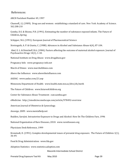# References:

ARCH Factsheet Number 49, 1997

 Chasnoff,, I.J. (1989). Drug use and women: establishing a standard of care. New York Academy of Science. 562:208-210

Gomby, D.S. & Shiono, P.H. (1991). Estimating the number of substance exposed infants. The Future of Children.,Spring

Schipper, N.G. (1991). European Journal of Pharmaceutical Science

Streissguth, A. P. & Giunta, C. (1988). Advances in Alcohol and Substance Abuse 6(4), 87‐104.

 Abel, E. L. & Dintcheff, B.A. (1984). Factors affecting the outcome of maternal alcohol exposure. Journal of Psychoactive Drugs 14(1), 1‐10.

National Institute on Drug Abuse: www.drugabuse.gov

Pregnancy Info: www.pregnancy‐info.net

March of Dimes: www.marchofdimes.com

Above the Influence: www.abovetheinfluence.com

AADAC: www.aadac.com/21.asp

Minnesota Department of Health: www.health.state.mn.us/divs/eh/meth

The Future of Children: www.futureofchildren.org

Center for Substance Abuse Treatment: csat.samhsa.gov

eMedicine: http://emedicine.medscape.com/article/978492‐overview

American Journal of Obstetrics & Gynecology.

Ansorge, 2009: www.mentalhelp.net

Budden, Sarojini. Intrauterine Exposure to Drugs and Alcohol: How Do The Children Fare, 1996

National Organization of Rare Diseases, 2010: www.rarediseases.org

Physicians Desk Reference, 1999

Kronstadt, D. (1991). Complex developmental issues of prenatal drug exposure. The Future of Children 1(1), 36‐49.

Food & Drug Administration: www.fda.gov

Adoption Statistics: www.statistics.adoption.com

Macomb Intermediate School District

Prenatal Drug Exposure Tool Kit May 2010 Maximum Page 39